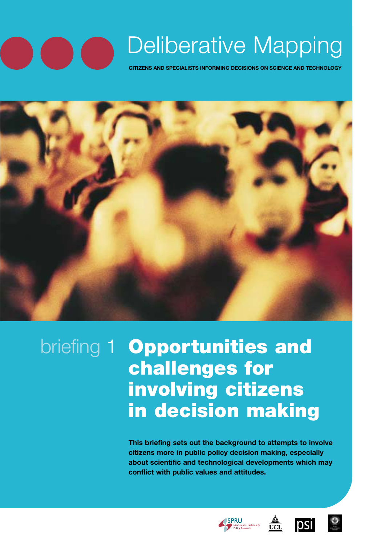## Deliberative Mapping **CITIZENS AND SPECIALISTS INFORMING DECISIONS ON SCIENCE AND TECHNOLOGY**

briefing 1 **Opportunities and challenges for involving citizens in decision making**

> **This briefing sets out the background to attempts to involve citizens more in public policy decision making, especially about scientific and technological developments which may conflict with public values and attitudes.**





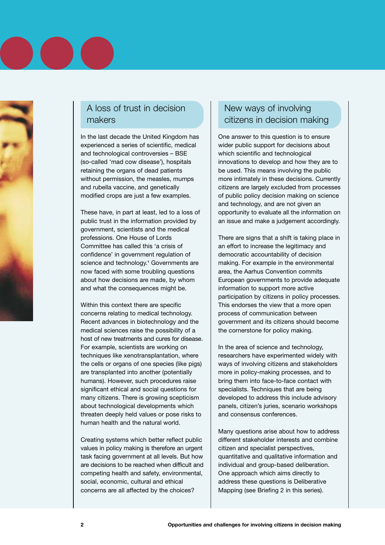## A loss of trust in decision makers

In the last decade the United Kingdom has experienced a series of scientific, medical and technological controversies – BSE (so-called 'mad cow disease'), hospitals retaining the organs of dead patients without permission, the measles, mumps and rubella vaccine, and genetically modified crops are just a few examples.

These have, in part at least, led to a loss of public trust in the information provided by government, scientists and the medical professions. One House of Lords Committee has called this 'a crisis of confidence' in government regulation of science and technology.**<sup>1</sup>** Governments are now faced with some troubling questions about how decisions are made, by whom and what the consequences might be.

Within this context there are specific concerns relating to medical technology. Recent advances in biotechnology and the medical sciences raise the possibility of a host of new treatments and cures for disease. For example, scientists are working on techniques like xenotransplantation, where the cells or organs of one species (like pigs) are transplanted into another (potentially humans). However, such procedures raise significant ethical and social questions for many citizens. There is growing scepticism about technological developments which threaten deeply held values or pose risks to human health and the natural world.

Creating systems which better reflect public values in policy making is therefore an urgent task facing government at all levels. But how are decisions to be reached when difficult and competing health and safety, environmental, social, economic, cultural and ethical concerns are all affected by the choices?

## New ways of involving citizens in decision making

One answer to this question is to ensure wider public support for decisions about which scientific and technological innovations to develop and how they are to be used. This means involving the public more intimately in these decisions. Currently citizens are largely excluded from processes of public policy decision making on science and technology, and are not given an opportunity to evaluate all the information on an issue and make a judgement accordingly.

There are signs that a shift is taking place in an effort to increase the legitimacy and democratic accountability of decision making. For example in the environmental area, the Aarhus Convention commits European governments to provide adequate information to support more active participation by citizens in policy processes. This endorses the view that a more open process of communication between government and its citizens should become the cornerstone for policy making.

In the area of science and technology, researchers have experimented widely with ways of involving citizens and stakeholders more in policy-making processes, and to bring them into face-to-face contact with specialists. Techniques that are being developed to address this include advisory panels, citizen's juries, scenario workshops and consensus conferences.

Many questions arise about how to address different stakeholder interests and combine citizen and specialist perspectives, quantitative and qualitative information and individual and group-based deliberation. One approach which aims directly to address these questions is Deliberative Mapping (see Briefing 2 in this series).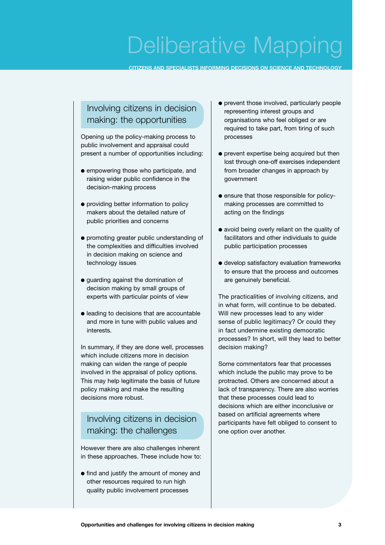# Deliberative Mapping

**CITIZENS AND SPECIALISTS INFORMING DECISIONS ON SCIENCE AND TECHNOLOGY**

## Involving citizens in decision making: the opportunities

Opening up the policy-making process to public involvement and appraisal could present a number of opportunities including:

- empowering those who participate, and raising wider public confidence in the decision-making process
- providing better information to policy makers about the detailed nature of public priorities and concerns
- promoting greater public understanding of the complexities and difficulties involved in decision making on science and technology issues
- guarding against the domination of decision making by small groups of experts with particular points of view
- leading to decisions that are accountable and more in tune with public values and interests.

In summary, if they are done well, processes which include citizens more in decision making can widen the range of people involved in the appraisal of policy options. This may help legitimate the basis of future policy making and make the resulting decisions more robust.

## Involving citizens in decision making: the challenges

However there are also challenges inherent in these approaches. These include how to:

● find and justify the amount of money and other resources required to run high quality public involvement processes

- prevent those involved, particularly people representing interest groups and organisations who feel obliged or are required to take part, from tiring of such processes
- prevent expertise being acquired but then lost through one-off exercises independent from broader changes in approach by government
- ensure that those responsible for policymaking processes are committed to acting on the findings
- avoid being overly reliant on the quality of facilitators and other individuals to guide public participation processes
- develop satisfactory evaluation frameworks to ensure that the process and outcomes are genuinely beneficial.

The practicalities of involving citizens, and in what form, will continue to be debated. Will new processes lead to any wider sense of public legitimacy? Or could they in fact undermine existing democratic processes? In short, will they lead to better decision making?

Some commentators fear that processes which include the public may prove to be protracted. Others are concerned about a lack of transparency. There are also worries that these processes could lead to decisions which are either inconclusive or based on artificial agreements where participants have felt obliged to consent to one option over another.